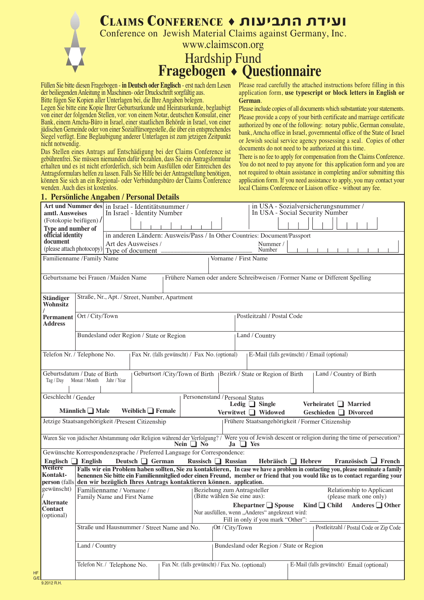| CLAIMS CONFERENCE + ועידת התביעות                                                                                                                        |
|----------------------------------------------------------------------------------------------------------------------------------------------------------|
| Conference on Jewish Material Claims against Germany, Inc.                                                                                               |
| www.claimscon.org                                                                                                                                        |
|                                                                                                                                                          |
| Hardship Fund<br>Fragebogen • Questionnaire                                                                                                              |
| $\mathbf{1}$ in the $\mathbf{1}$ is the $\mathbf{1}$ in the $\mathbf{1}$ in the $\mathbf{1}$ in the $\mathbf{1}$ in the $\mathbf{1}$ in the $\mathbf{1}$ |

Füllen Sie bitte diesen Fragebogen - **in Deutsch oder Englisch** - erst nach dem Lesen der beiliegenden Anleitung in Maschinen- oder Druckschrift sorgfältig aus. Bitte fügen Sie Kopien aller Unterlagen bei, die Ihre Angaben belegen.

Please read carefully the attached instructions before filling in this application form, **use typescript or block letters in English or German**.

Please include copies of all documents which substantiate your statements. Please provide a copy of your birth certificate and marriage certificate

Legen Sie bitte eine Kopie Ihrer Geburtsurkunde und Heiratsurkunde, beglaubigt von einer der folgenden Stellen, vor: von einem Notar, deutschen Konsulat, einer Bank, einem Amcha-Büro in Israel, einer staatlichen Behörde in Israel, von einer jüdischen Gemeinde oder von einer Sozialfürsorgestelle, die über ein entsprechendes Siegel verfügt. Eine Beglaubigung anderer Unterlagen ist zum jetzigen Zeitpunkt nicht notwendig.

Das Stellen eines Antrags auf Entschädigung bei der Claims Conference ist gebührenfrei. Sie müssen niemanden dafür bezahlen, dass Sie ein Antragsformular erhalten und es ist nicht erforderlich, sich beim Ausfüllen oder Einreichen des Antragsformulars helfen zu lassen. Falls Sie Hilfe bei der Antragstellung benötigen, können Sie sich an ein Regional- oder Verbindungsbüro der Claims Conference wenden. Auch dies ist kostenlos.

authorized by one of the following: notary public, German consulate, bank, Amcha office in Israel, governmental office of the State of Israel or Jewish social service agency possessing a seal. Copies of other documents do not need to be authorized at this time. There is no fee to apply for compensation from the Claims Conference. You do not need to pay anyone for this application form and you are

not required to obtain assistance in completing and/or submitting this application form. If you need assistance to apply, you may contact your

local Claims Conference or Liaison office - without any fee.

| 1. Persönliche Angaben / Personal Details                                                                            |                                                                                                                     |                                                        |                                                |  |                |  |                                                                          |                                                               |  |                  |                                                                                                                                                                                                                                                                 |                                                     |                                        |
|----------------------------------------------------------------------------------------------------------------------|---------------------------------------------------------------------------------------------------------------------|--------------------------------------------------------|------------------------------------------------|--|----------------|--|--------------------------------------------------------------------------|---------------------------------------------------------------|--|------------------|-----------------------------------------------------------------------------------------------------------------------------------------------------------------------------------------------------------------------------------------------------------------|-----------------------------------------------------|----------------------------------------|
| Art und Nummer des in Israel - Identitätsnummer /<br>amtl. Ausweises<br>(Fotokopie beifügen) /<br>Type and number of |                                                                                                                     |                                                        | In Israel - Identity Number                    |  |                |  |                                                                          |                                                               |  |                  | in USA - Sozialversicherungsnummer /<br>In USA - Social Security Number                                                                                                                                                                                         |                                                     |                                        |
| official identity<br>document                                                                                        |                                                                                                                     |                                                        | Art des Ausweises /                            |  |                |  | in anderen Ländern: Ausweis/Pass / In Other Countries: Document/Passport | Nummer /<br>Number                                            |  |                  |                                                                                                                                                                                                                                                                 |                                                     |                                        |
|                                                                                                                      | (please attach photocopy) Type of document<br>Familienname / Family Name<br>Vorname / First Name                    |                                                        |                                                |  |                |  |                                                                          |                                                               |  |                  |                                                                                                                                                                                                                                                                 |                                                     |                                        |
|                                                                                                                      | Geburtsname bei Frauen / Maiden Name<br>Frühere Namen oder andere Schreibweisen / Former Name or Different Spelling |                                                        |                                                |  |                |  |                                                                          |                                                               |  |                  |                                                                                                                                                                                                                                                                 |                                                     |                                        |
| <b>Ständiger</b><br>Wohnsitz                                                                                         |                                                                                                                     |                                                        | Straße, Nr., Apt. / Street, Number, Apartment  |  |                |  |                                                                          |                                                               |  |                  |                                                                                                                                                                                                                                                                 |                                                     |                                        |
| Permanent<br><b>Address</b>                                                                                          | Ort / City/Town                                                                                                     |                                                        |                                                |  |                |  |                                                                          | Postleitzahl / Postal Code                                    |  |                  |                                                                                                                                                                                                                                                                 |                                                     |                                        |
|                                                                                                                      |                                                                                                                     |                                                        | Bundesland oder Region / State or Region       |  |                |  |                                                                          | Land / Country                                                |  |                  |                                                                                                                                                                                                                                                                 |                                                     |                                        |
| Telefon Nr. / Telephone No.                                                                                          |                                                                                                                     |                                                        | Fax Nr. (falls gewünscht) / Fax No. (optional) |  |                |  |                                                                          |                                                               |  |                  | E-Mail (falls gewünscht) / Email (optional)                                                                                                                                                                                                                     |                                                     |                                        |
| Geburtsdatum / Date of Birth<br>Tag / Day                                                                            | Monat / Month                                                                                                       | Jahr / Year                                            | Geburtsort /City/Town of Birth                 |  |                |  | Bezirk / State or Region of Birth                                        |                                                               |  |                  | Land / Country of Birth                                                                                                                                                                                                                                         |                                                     |                                        |
| Geschlecht / Gender                                                                                                  | Männlich $\Box$ Male                                                                                                |                                                        | Weiblich $\Box$ Female                         |  |                |  | Personenstand / Personal Status<br>Verwitwet Widowed                     | Ledig $\Box$ Single                                           |  |                  | Verheiratet □ Married<br>Geschieden Divorced                                                                                                                                                                                                                    |                                                     |                                        |
| Jetzige Staatsangehörigkeit /Present Citizenship                                                                     |                                                                                                                     |                                                        |                                                |  |                |  |                                                                          |                                                               |  |                  | Frühere Staatsangehörigkeit / Former Citizenship                                                                                                                                                                                                                |                                                     |                                        |
| Gewünschte Korrespondenzsprache / Preferred Language for Correspondence:                                             |                                                                                                                     |                                                        |                                                |  | Nein $\Box$ No |  | Ja                                                                       | $\Box$ Yes                                                    |  |                  | Waren Sie von jüdischer Abstammung oder Religion während der Verfolgung? / Were you of Jewish descent or religion during the time of persecution?                                                                                                               |                                                     |                                        |
| Englisch $\Box$ English                                                                                              |                                                                                                                     |                                                        | Deutsch German                                 |  |                |  | Russisch $\Box$ Russian                                                  |                                                               |  | Hebräisch Hebrew |                                                                                                                                                                                                                                                                 |                                                     | Französisch $\Box$ French              |
| Weitere<br>Kontakt-<br>person (falls den wir bezüglich Ihres Antrags kontaktieren können. application.               |                                                                                                                     |                                                        |                                                |  |                |  |                                                                          |                                                               |  |                  | Falls wir ein Problem haben sollten, Sie zu kontaktieren, In case we have a problem in contacting you, please nominate a family<br>benennen Sie bitte ein Familienmitglied oder einen Freund, member or friend that you would like us to contact regarding your |                                                     |                                        |
| gewünscht)<br>Alternate                                                                                              |                                                                                                                     | Familienname / Vorname /<br>Family Name and First Name |                                                |  |                |  | Beziehung zum Antragsteller<br>(Bitte wählen Sie eine aus):              |                                                               |  |                  |                                                                                                                                                                                                                                                                 | Relationship to Applicant<br>(please mark one only) |                                        |
| Contact<br>(optional)                                                                                                |                                                                                                                     |                                                        |                                                |  |                |  | Nur ausfüllen, wenn "Anderes" angekreuzt wird:                           | Ehepartner $\Box$ Spouse<br>Fill in only if you mark "Other": |  |                  | Kind $\Box$ Child Anderes $\Box$ Other                                                                                                                                                                                                                          |                                                     |                                        |
|                                                                                                                      |                                                                                                                     |                                                        | Straße und Hausnummer / Street Name and No.    |  |                |  | Ort / City/Town                                                          |                                                               |  |                  |                                                                                                                                                                                                                                                                 |                                                     | Postleitzahl / Postal Code or Zip Code |
|                                                                                                                      | Land / Country                                                                                                      |                                                        |                                                |  |                |  | Bundesland oder Region / State or Region                                 |                                                               |  |                  |                                                                                                                                                                                                                                                                 |                                                     |                                        |
|                                                                                                                      |                                                                                                                     | Telefon Nr. / Telephone No.                            |                                                |  |                |  | Fax Nr. (falls gewünscht) / Fax No. (optional)                           |                                                               |  |                  | E-Mail (falls gewünscht) Email (optional)                                                                                                                                                                                                                       |                                                     |                                        |
|                                                                                                                      |                                                                                                                     |                                                        |                                                |  |                |  |                                                                          |                                                               |  |                  |                                                                                                                                                                                                                                                                 |                                                     |                                        |

9.2012 R.H. G/E

HF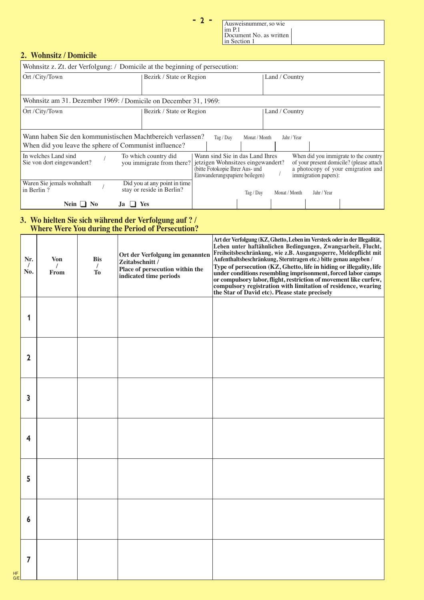$-2-$ 

Ausweisnummer, so wie im P.1 Document No. as written in Section 1

# **2. Wohnsitz / Domicile**

| Wohnsitz z. Zt. der Verfolgung: / Domicile at the beginning of persecution: |                                                                 |                                                                                                                                           |               |                |                      |                                                                                                                         |  |  |  |  |
|-----------------------------------------------------------------------------|-----------------------------------------------------------------|-------------------------------------------------------------------------------------------------------------------------------------------|---------------|----------------|----------------------|-------------------------------------------------------------------------------------------------------------------------|--|--|--|--|
| Ort / City/Town                                                             | Bezirk / State or Region                                        |                                                                                                                                           |               | Land / Country |                      |                                                                                                                         |  |  |  |  |
|                                                                             |                                                                 |                                                                                                                                           |               |                |                      |                                                                                                                         |  |  |  |  |
|                                                                             | Wohnsitz am 31. Dezember 1969: / Domicile on December 31, 1969: |                                                                                                                                           |               |                |                      |                                                                                                                         |  |  |  |  |
| Ort / City/Town                                                             | Bezirk / State or Region                                        |                                                                                                                                           |               | Land / Country |                      |                                                                                                                         |  |  |  |  |
|                                                                             |                                                                 |                                                                                                                                           |               |                |                      |                                                                                                                         |  |  |  |  |
| Wann haben Sie den kommunistischen Machtbereich verlassen?                  |                                                                 | Tag / $Day$                                                                                                                               | Monat / Month | Jahr / Year    |                      |                                                                                                                         |  |  |  |  |
| When did you leave the sphere of Communist influence?                       |                                                                 |                                                                                                                                           |               |                |                      |                                                                                                                         |  |  |  |  |
| In welches Land sind<br>Sie von dort eingewandert?                          | To which country did<br>you immigrate from there?               | Wann sind Sie in das Land Ihres<br>jetzigen Wohnsitzes eingewandert?<br>(bitte Fotokopie Ihrer Aus- und<br>Einwanderungspapiere beilegen) |               |                | immigration papers): | When did you immigrate to the country<br>of your present domicile? (please attach<br>a photocopy of your emigration and |  |  |  |  |
| Waren Sie jemals wohnhaft<br>in Berlin?                                     | Did you at any point in time<br>stay or reside in Berlin?       |                                                                                                                                           | Tag / Day     | Monat / Month  | Jahr / Year          |                                                                                                                         |  |  |  |  |
| Nein $\Box$<br>N <sub>0</sub>                                               | Yes                                                             |                                                                                                                                           |               |                |                      |                                                                                                                         |  |  |  |  |

### **3. Wo hielten Sie sich während der Verfolgung auf ? / Where Were You during the Period of Persecution?**

|           | Nr.<br>$\prime$<br>No. | <b>Von</b><br>From | <b>Bis</b><br>$\prime$<br>To | Ort der Verfolgung im genannten<br>Zeitabschnitt /<br>Place of persecution within the<br>indicated time periods | Art der Verfolgung (KZ, Ghetto, Leben im Versteck oder in der Illegalität,<br>Leben unter haftähnlichen Bedingungen, Zwangsarbeit, Flucht,<br>Freiheitsbeschränkung, wie z.B. Ausgangssperre, Meldepflicht mit<br>Aufenthaltsbeschränkung, Sterntragen etc.) bitte genau angeben /<br>Type of persecution (KZ, Ghetto, life in hiding or illegality, life<br>under conditions resembling imprisonment, forced labor camps<br>or compulsory labor, flight, restriction of movement like curfew,<br>compulsory registration with limitation of residence, wearing<br>the Star of David etc). Please state precisely |
|-----------|------------------------|--------------------|------------------------------|-----------------------------------------------------------------------------------------------------------------|-------------------------------------------------------------------------------------------------------------------------------------------------------------------------------------------------------------------------------------------------------------------------------------------------------------------------------------------------------------------------------------------------------------------------------------------------------------------------------------------------------------------------------------------------------------------------------------------------------------------|
|           | 1                      |                    |                              |                                                                                                                 |                                                                                                                                                                                                                                                                                                                                                                                                                                                                                                                                                                                                                   |
|           | $\mathbf 2$            |                    |                              |                                                                                                                 |                                                                                                                                                                                                                                                                                                                                                                                                                                                                                                                                                                                                                   |
|           | 3                      |                    |                              |                                                                                                                 |                                                                                                                                                                                                                                                                                                                                                                                                                                                                                                                                                                                                                   |
|           | 4                      |                    |                              |                                                                                                                 |                                                                                                                                                                                                                                                                                                                                                                                                                                                                                                                                                                                                                   |
|           | 5                      |                    |                              |                                                                                                                 |                                                                                                                                                                                                                                                                                                                                                                                                                                                                                                                                                                                                                   |
|           | 6                      |                    |                              |                                                                                                                 |                                                                                                                                                                                                                                                                                                                                                                                                                                                                                                                                                                                                                   |
| HF<br>G/E | 7                      |                    |                              |                                                                                                                 |                                                                                                                                                                                                                                                                                                                                                                                                                                                                                                                                                                                                                   |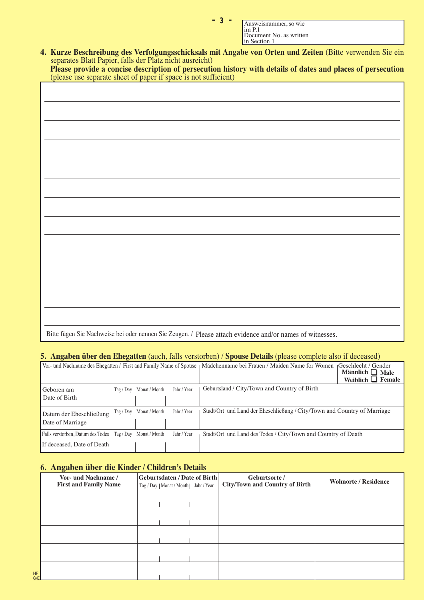| Ausweisnummer, so wie<br>$\lim_{ } P.1$ |  |
|-----------------------------------------|--|
| Document No. as written<br>In Section 1 |  |

**4. Kurze Beschreibung des Verfolgungsschicksals mit Angabe von Orten und Zeiten** (Bitte verwenden Sie ein separates Blatt Papier, falls der Platz nicht ausreicht)

|  |  |                                                                 |  |  | Please provide a concise description of persecution history with details of dates and places of persecution |
|--|--|-----------------------------------------------------------------|--|--|-------------------------------------------------------------------------------------------------------------|
|  |  | (please use separate sheet of paper if space is not sufficient) |  |  |                                                                                                             |

igen Sie Nachweise bei oder nennen Sie Zeugen. / Please attach evidence and/or names

# **5. Angaben über den Ehegatten** (auch, falls verstorben) / **Spouse Details** (please complete also if deceased)

|                                                           |                         |             | Vor- und Nachname des Ehegatten / First and Family Name of Spouse   Mädchenname bei Frauen / Maiden Name for Women | Geschlecht / Gender<br>Männlich $\Box$ Male<br>Weiblich $\Box$ Female |
|-----------------------------------------------------------|-------------------------|-------------|--------------------------------------------------------------------------------------------------------------------|-----------------------------------------------------------------------|
| Geboren am                                                | Tag / Day Monat / Month | Jahr / Year | Geburtsland / City/Town and Country of Birth                                                                       |                                                                       |
| Date of Birth                                             |                         |             |                                                                                                                    |                                                                       |
| Datum der Eheschließung                                   | Tag / Day Monat / Month | Jahr / Year | Stadt/Ort und Land der Eheschließung / City/Town and Country of Marriage                                           |                                                                       |
| Date of Marriage                                          |                         |             |                                                                                                                    |                                                                       |
| Falls verstorben, Datum des Todes Tag / Day Monat / Month |                         | Jahr / Year | Stadt/Ort und Land des Todes / City/Town and Country of Death                                                      |                                                                       |
| If deceased, Date of Death                                |                         |             |                                                                                                                    |                                                                       |

# **6. Angaben über die Kinder / Children's Details**

 $\Gamma$ 

|                  | Vor- und Nachname /<br><b>First and Family Name</b> | <b>Geburtsdaten / Date of Birth</b><br>Tag / Day   Monat / Month   Jahr / Year | Geburtsorte /<br><b>City/Town and Country of Birth</b> | <b>Wohnorte / Residence</b> |
|------------------|-----------------------------------------------------|--------------------------------------------------------------------------------|--------------------------------------------------------|-----------------------------|
|                  |                                                     |                                                                                |                                                        |                             |
|                  |                                                     |                                                                                |                                                        |                             |
|                  |                                                     |                                                                                |                                                        |                             |
|                  |                                                     |                                                                                |                                                        |                             |
| <b>HF</b><br>G/E |                                                     |                                                                                |                                                        |                             |

≠††≥††≠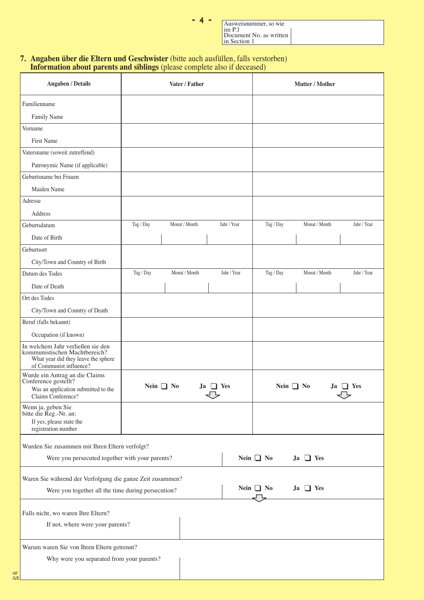| <b>Contract Contract Contract Contract Contract Contract Contract Contract Contract Contract Contract Contract Co</b><br><b>Contract Contract Contract Contract Contract Contract Contract Contract Contract Contract Contract Contract Co</b><br><b>Contract Contract Contract Contract Contract Contract Contract Contract Contract Contract Contract Contract Co</b> | <b>Service Service</b><br><b>Service Service</b> | <b>Contract Contract Contract Contract Contract Contract Contract Contract Contract Contract Contract Contract Co</b><br><b>Contract Contract Contract Contract Contract Contract Contract Contract Contract Contract Contract Contract Co</b> |
|-------------------------------------------------------------------------------------------------------------------------------------------------------------------------------------------------------------------------------------------------------------------------------------------------------------------------------------------------------------------------|--------------------------------------------------|------------------------------------------------------------------------------------------------------------------------------------------------------------------------------------------------------------------------------------------------|
|-------------------------------------------------------------------------------------------------------------------------------------------------------------------------------------------------------------------------------------------------------------------------------------------------------------------------------------------------------------------------|--------------------------------------------------|------------------------------------------------------------------------------------------------------------------------------------------------------------------------------------------------------------------------------------------------|

Ausweisnummer, so wie im P.1 Document No. as written in Section 1

### **7. Angaben über die Eltern und Geschwister** (bitte auch ausfüllen, falls verstorben) **Information about parents and siblings** (please complete also if deceased)

| <b>Angaben / Details</b>                                                                                                             |                | Vater / Father |                 |             |                | Mutter / Mother |             |
|--------------------------------------------------------------------------------------------------------------------------------------|----------------|----------------|-----------------|-------------|----------------|-----------------|-------------|
| Familienname                                                                                                                         |                |                |                 |             |                |                 |             |
| Family Name                                                                                                                          |                |                |                 |             |                |                 |             |
| Vorname                                                                                                                              |                |                |                 |             |                |                 |             |
| <b>First Name</b>                                                                                                                    |                |                |                 |             |                |                 |             |
| Vatersname (soweit zutreffend)                                                                                                       |                |                |                 |             |                |                 |             |
| Patronymic Name (if applicable)                                                                                                      |                |                |                 |             |                |                 |             |
| Geburtsname bei Frauen                                                                                                               |                |                |                 |             |                |                 |             |
| Maiden Name                                                                                                                          |                |                |                 |             |                |                 |             |
| Adresse                                                                                                                              |                |                |                 |             |                |                 |             |
| Address                                                                                                                              |                |                |                 |             |                |                 |             |
| Geburtsdatum                                                                                                                         | Tag / Day      | Monat / Month  |                 | Jahr / Year | Tag / Day      | Monat / Month   | Jahr / Year |
| Date of Birth                                                                                                                        |                |                |                 |             |                |                 |             |
| Geburtsort                                                                                                                           |                |                |                 |             |                |                 |             |
| City/Town and Country of Birth                                                                                                       |                |                |                 |             |                |                 |             |
| Datum des Todes                                                                                                                      | Tag / Day      | Monat / Month  |                 | Jahr / Year | Tag / Day      | Monat / Month   | Jahr / Year |
| Date of Death                                                                                                                        |                |                |                 |             |                |                 |             |
| Ort des Todes                                                                                                                        |                |                |                 |             |                |                 |             |
| City/Town and Country of Death                                                                                                       |                |                |                 |             |                |                 |             |
| Beruf (falls bekannt)                                                                                                                |                |                |                 |             |                |                 |             |
| Occupation (if known)                                                                                                                |                |                |                 |             |                |                 |             |
| In welchem Jahr verließen sie den<br>kommunistischen Machtbereich?<br>What year did they leave the sphere<br>of Communist influence? |                |                |                 |             |                |                 |             |
| Wurde ein Antrag an die Claims<br>Conference gestellt?<br>Was an application submitted to the<br>Claims Conference?                  | Nein $\Box$ No |                | $Ja$ $\Box$ Yes |             | Nein $\Box$ No | Ja              | $\Box$ Yes  |
| Wenn ja, geben Sie<br>bitte die Reg.-Nr. an:<br>If yes, please state the<br>registration number                                      |                |                |                 |             |                |                 |             |
| Wurden Sie zusammen mit Ihren Eltern verfolgt?<br>Were you persecuted together with your parents?                                    |                |                |                 |             | Nein $\Box$ No | $Ja \Box Yes$   |             |
| Waren Sie während der Verfolgung die ganze Zeit zusammen?<br>Were you together all the time during persecution?                      |                |                |                 |             | Nein $\Box$ No | $Ja \tI$ Yes    |             |
|                                                                                                                                      |                |                |                 |             |                |                 |             |
| Falls nicht, wo waren Ihre Eltern?                                                                                                   |                |                |                 |             |                |                 |             |
| If not, where were your parents?                                                                                                     |                |                |                 |             |                |                 |             |
| Warum waren Sie von Ihren Eltern getrennt?                                                                                           |                |                |                 |             |                |                 |             |
| Why were you separated from your parents?<br>НF                                                                                      |                |                |                 |             |                |                 |             |
| G/E                                                                                                                                  |                |                |                 |             |                |                 |             |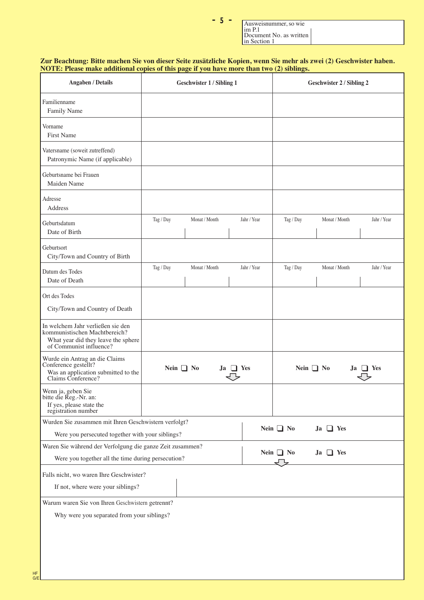| Ausweisnummer, so wie<br>$\lim_{ } P.1$ |  |
|-----------------------------------------|--|
| Document No. as written<br>In Section 1 |  |

#### **NOTE: Please make additional copies of this page if you have more than two (2) siblings. Zur Beachtung: Bitte machen Sie von dieser Seite zusätzliche Kopien, wenn Sie mehr als zwei (2) Geschwister haben.**

≠††µ††≠

| Angaben / Details                                                                                                                    | <b>Geschwister 1 / Sibling 1</b> |                | Geschwister 2 / Sibling 2 |             |                |                 |             |
|--------------------------------------------------------------------------------------------------------------------------------------|----------------------------------|----------------|---------------------------|-------------|----------------|-----------------|-------------|
| Familienname<br>Family Name                                                                                                          |                                  |                |                           |             |                |                 |             |
| Vorname<br><b>First Name</b>                                                                                                         |                                  |                |                           |             |                |                 |             |
| Vatersname (soweit zutreffend)<br>Patronymic Name (if applicable)                                                                    |                                  |                |                           |             |                |                 |             |
| Geburtsname bei Frauen<br>Maiden Name                                                                                                |                                  |                |                           |             |                |                 |             |
| Adresse<br>Address                                                                                                                   |                                  |                |                           |             |                |                 |             |
| Geburtsdatum<br>Date of Birth                                                                                                        | Tag / Day                        | Monat / Month  |                           | Jahr / Year | Tag / Day      | Monat / Month   | Jahr / Year |
| Geburtsort<br>City/Town and Country of Birth                                                                                         |                                  |                |                           |             |                |                 |             |
| Datum des Todes<br>Date of Death                                                                                                     | Tag / Day                        | Monat / Month  |                           | Jahr / Year | Tag / Day      | Monat / Month   | Jahr / Year |
| Ort des Todes<br>City/Town and Country of Death                                                                                      |                                  |                |                           |             |                |                 |             |
| In welchem Jahr verließen sie den<br>kommunistischen Machtbereich?<br>What year did they leave the sphere<br>of Communist influence? |                                  |                |                           |             |                |                 |             |
| Wurde ein Antrag an die Claims<br>Conference gestellt?<br>Was an application submitted to the<br>Claims Conference?                  |                                  | Nein $\Box$ No | $Ja \Box Yes$             |             | Nein $\Box$ No | .Ja             | l Yes       |
| Wenn ja, geben Sie<br>bitte die Reg.-Nr. an:<br>If yes, please state the<br>registration number                                      |                                  |                |                           |             |                |                 |             |
| Wurden Sie zusammen mit Ihren Geschwistern verfolgt?<br>Were you persecuted together with your siblings?                             |                                  |                |                           |             | Nein $\Box$ No | $Ja$ $\Box$ Yes |             |
| Waren Sie während der Verfolgung die ganze Zeit zusammen?<br>Were you together all the time during persecution?                      |                                  |                |                           |             | Nein $\Box$ No | $Ja \tI$ Yes    |             |
| Falls nicht, wo waren Ihre Geschwister?<br>If not, where were your siblings?                                                         |                                  |                |                           |             |                |                 |             |
| Warum waren Sie von Ihren Geschwistern getrennt?<br>Why were you separated from your siblings?                                       |                                  |                |                           |             |                |                 |             |
|                                                                                                                                      |                                  |                |                           |             |                |                 |             |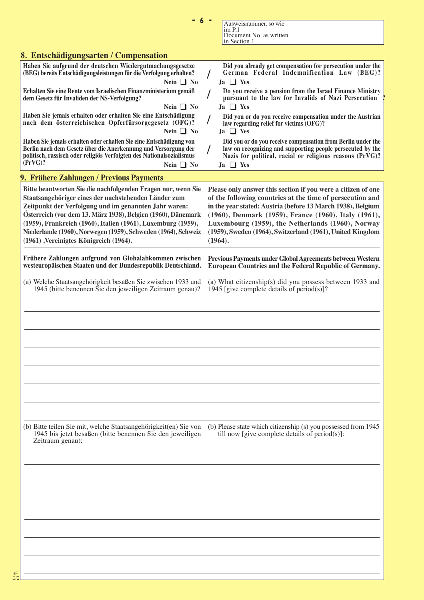| $-6$                                                                                                                                                                                                                                                                                                                                                                                                                     | Ausweisnummer, so wie                                                                                                                                                                                                                                                                                                                                                         |
|--------------------------------------------------------------------------------------------------------------------------------------------------------------------------------------------------------------------------------------------------------------------------------------------------------------------------------------------------------------------------------------------------------------------------|-------------------------------------------------------------------------------------------------------------------------------------------------------------------------------------------------------------------------------------------------------------------------------------------------------------------------------------------------------------------------------|
|                                                                                                                                                                                                                                                                                                                                                                                                                          | im <sub>P.1</sub><br>Document No. as written<br>in Section 1                                                                                                                                                                                                                                                                                                                  |
| 8. Entschädigungsarten / Compensation                                                                                                                                                                                                                                                                                                                                                                                    |                                                                                                                                                                                                                                                                                                                                                                               |
| Haben Sie aufgrund der deutschen Wiedergutmachungsgesetze                                                                                                                                                                                                                                                                                                                                                                | Did you already get compensation for persecution under the                                                                                                                                                                                                                                                                                                                    |
| (BEG) bereits Entschädigungsleistungen für die Verfolgung erhalten?<br>Nein $\Box$ No                                                                                                                                                                                                                                                                                                                                    | German Federal Indemnification Law (BEG)?<br>$Ja$ $\Box$ Yes                                                                                                                                                                                                                                                                                                                  |
| Erhalten Sie eine Rente vom Israelischen Finanzministerium gemäß<br>dem Gesetz für Invaliden der NS-Verfolgung?<br>Nein $\Box$ No                                                                                                                                                                                                                                                                                        | Do you receive a pension from the Israel Finance Ministry<br>pursuant to the law for Invalids of Nazi Persecution<br>$Ja \Box Yes$                                                                                                                                                                                                                                            |
| Haben Sie jemals erhalten oder erhalten Sie eine Entschädigung<br>nach dem österreichischen Opferfürsorgegesetz (OFG)?<br>Nein $\Box$ No                                                                                                                                                                                                                                                                                 | Did you or do you receive compensation under the Austrian<br>law regarding relief for victims (OFG)?<br>$Ja \Box Yes$                                                                                                                                                                                                                                                         |
| Haben Sie jemals erhalten oder erhalten Sie eine Entschädigung von<br>Berlin nach dem Gesetz über die Anerkennung und Versorgung der<br>politisch, rassisch oder religiös Verfolgten des Nationalsozialismus<br>$PrvG$ ?<br>Nein $\Box$ No                                                                                                                                                                               | Did you or do you receive compensation from Berlin under the<br>law on recognizing and supporting people persecuted by the<br>Nazis for political, racial or religious reasons (PrVG)?<br>$Ja \Box Yes$                                                                                                                                                                       |
| 9. Frühere Zahlungen / Previous Payments                                                                                                                                                                                                                                                                                                                                                                                 |                                                                                                                                                                                                                                                                                                                                                                               |
| Bitte beantworten Sie die nachfolgenden Fragen nur, wenn Sie<br>Staatsangehöriger eines der nachstehenden Länder zum<br>Zeitpunkt der Verfolgung und im genannten Jahr waren:<br>Österreich (vor dem 13. März 1938), Belgien (1960), Dänemark<br>(1959), Frankreich (1960), Italien (1961), Luxemburg (1959),<br>Niederlande (1960), Norwegen (1959), Schweden (1964), Schweiz<br>(1961), Vereinigtes Königreich (1964). | Please only answer this section if you were a citizen of one<br>of the following countries at the time of persecution and<br>in the year stated: Austria (before 13 March 1938), Belgium<br>(1960), Denmark (1959), France (1960), Italy (1961),<br>Luxembourg (1959), the Netherlands (1960), Norway<br>(1959), Sweden (1964), Switzerland (1961), United Kingdom<br>(1964). |
| Frühere Zahlungen aufgrund von Globalabkommen zwischen<br>westeuropäischen Staaten und der Bundesrepublik Deutschland.                                                                                                                                                                                                                                                                                                   | Previous Payments under Global Agreements between Western<br>European Countries and the Federal Republic of Germany.                                                                                                                                                                                                                                                          |
| (a) Welche Staatsangehörigkeit besaßen Sie zwischen 1933 und<br>1945 (bitte benennen Sie den jeweiligen Zeitraum genau)?                                                                                                                                                                                                                                                                                                 | (a) What citizenship(s) did you possess between $1933$ and<br>1945 [give complete details of period(s)]?                                                                                                                                                                                                                                                                      |
|                                                                                                                                                                                                                                                                                                                                                                                                                          |                                                                                                                                                                                                                                                                                                                                                                               |
|                                                                                                                                                                                                                                                                                                                                                                                                                          |                                                                                                                                                                                                                                                                                                                                                                               |
|                                                                                                                                                                                                                                                                                                                                                                                                                          |                                                                                                                                                                                                                                                                                                                                                                               |
|                                                                                                                                                                                                                                                                                                                                                                                                                          |                                                                                                                                                                                                                                                                                                                                                                               |
|                                                                                                                                                                                                                                                                                                                                                                                                                          |                                                                                                                                                                                                                                                                                                                                                                               |
|                                                                                                                                                                                                                                                                                                                                                                                                                          |                                                                                                                                                                                                                                                                                                                                                                               |
|                                                                                                                                                                                                                                                                                                                                                                                                                          |                                                                                                                                                                                                                                                                                                                                                                               |
|                                                                                                                                                                                                                                                                                                                                                                                                                          |                                                                                                                                                                                                                                                                                                                                                                               |
| (b) Bitte teilen Sie mit, welche Staatsangehörigkeit(en) Sie von<br>1945 bis jetzt besaßen (bitte benennen Sie den jeweiligen<br>Zeitraum genau):                                                                                                                                                                                                                                                                        | (b) Please state which citizenship (s) you possessed from 1945<br>till now [give complete details of $period(s)$ ]:                                                                                                                                                                                                                                                           |
|                                                                                                                                                                                                                                                                                                                                                                                                                          |                                                                                                                                                                                                                                                                                                                                                                               |
|                                                                                                                                                                                                                                                                                                                                                                                                                          |                                                                                                                                                                                                                                                                                                                                                                               |
|                                                                                                                                                                                                                                                                                                                                                                                                                          |                                                                                                                                                                                                                                                                                                                                                                               |
|                                                                                                                                                                                                                                                                                                                                                                                                                          |                                                                                                                                                                                                                                                                                                                                                                               |
|                                                                                                                                                                                                                                                                                                                                                                                                                          |                                                                                                                                                                                                                                                                                                                                                                               |
|                                                                                                                                                                                                                                                                                                                                                                                                                          |                                                                                                                                                                                                                                                                                                                                                                               |
|                                                                                                                                                                                                                                                                                                                                                                                                                          |                                                                                                                                                                                                                                                                                                                                                                               |
|                                                                                                                                                                                                                                                                                                                                                                                                                          |                                                                                                                                                                                                                                                                                                                                                                               |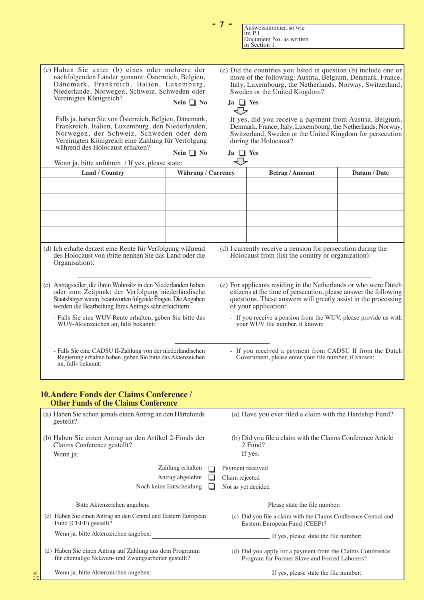|                                                                                                                                                                                                                                                                                                                                                                                                                                                                                                                                                                          |                                                                                                                                                                                                                                                                                                                                      |                                                                                                                                                                                                                                                                                                                                                                                                                                                                                      | in Section 1                                       |                                                              |  |
|--------------------------------------------------------------------------------------------------------------------------------------------------------------------------------------------------------------------------------------------------------------------------------------------------------------------------------------------------------------------------------------------------------------------------------------------------------------------------------------------------------------------------------------------------------------------------|--------------------------------------------------------------------------------------------------------------------------------------------------------------------------------------------------------------------------------------------------------------------------------------------------------------------------------------|--------------------------------------------------------------------------------------------------------------------------------------------------------------------------------------------------------------------------------------------------------------------------------------------------------------------------------------------------------------------------------------------------------------------------------------------------------------------------------------|----------------------------------------------------|--------------------------------------------------------------|--|
|                                                                                                                                                                                                                                                                                                                                                                                                                                                                                                                                                                          |                                                                                                                                                                                                                                                                                                                                      |                                                                                                                                                                                                                                                                                                                                                                                                                                                                                      |                                                    |                                                              |  |
| (c) Haben Sie unter (b) eines oder mehrere der<br>nachfolgenden Länder genannt: Österreich, Belgien,<br>Dänemark, Frankreich, Italien, Luxemburg,<br>Niederlande, Norwegen, Schweiz, Schweden oder<br>Vereinigtes Königreich?<br>Nein $\Box$ No<br>Falls ja, haben Sie von Österreich, Belgien, Dänemark,<br>Frankreich, Italien, Luxemburg, den Niederlanden,<br>Norwegen, der Schweiz, Schweden oder dem<br>Vereinigten Königreich eine Zahlung für Verfolgung<br>während des Holocaust erhalten?<br>Nein $\Box$ No<br>Wenn ja, bitte anführen / If yes, please state: |                                                                                                                                                                                                                                                                                                                                      | (c) Did the countries you listed in question (b) include one or<br>more of the following: Austria, Belgium, Denmark, France,<br>Italy, Luxembourg, the Netherlands, Norway, Switzerland,<br>Sweden or the United Kingdom?<br>$Ja$ $\Box$ Yes<br>↽<br>If yes, did you receive a payment from Austria, Belgium,<br>Denmark, France, Italy, Luxembourg, the Netherlands, Norway,<br>Switzerland, Sweden or the United Kingdom for persecution<br>during the Holocaust?<br>$Ja \Box Yes$ |                                                    |                                                              |  |
| Land / Country                                                                                                                                                                                                                                                                                                                                                                                                                                                                                                                                                           | Währung / Currency                                                                                                                                                                                                                                                                                                                   |                                                                                                                                                                                                                                                                                                                                                                                                                                                                                      | <b>Betrag / Amount</b>                             | Datum / Date                                                 |  |
|                                                                                                                                                                                                                                                                                                                                                                                                                                                                                                                                                                          |                                                                                                                                                                                                                                                                                                                                      |                                                                                                                                                                                                                                                                                                                                                                                                                                                                                      |                                                    |                                                              |  |
| (d) Ich erhalte derzeit eine Rente für Verfolgung während<br>des Holocaust von (bitte nennen Sie das Land oder die<br>Organisation):                                                                                                                                                                                                                                                                                                                                                                                                                                     |                                                                                                                                                                                                                                                                                                                                      |                                                                                                                                                                                                                                                                                                                                                                                                                                                                                      | Holocaust from (list the country or organization): | (d) I currently receive a pension for persecution during the |  |
| (e) Antragsteller, die ihren Wohnsitz in den Niederlanden haben<br>oder zum Zeitpunkt der Verfolgung niederländische<br>Staatsbürger waren, beantworten folgende Fragen. Die Angaben<br>werden die Bearbeitung Ihres Antrags sehr erleichtern:<br>- Falls Sie eine WUV-Rente erhalten, geben Sie bitte das<br>WUV-Aktenzeichen an, falls bekannt:                                                                                                                                                                                                                        | (e) For applicants residing in the Netherlands or who were Dutch<br>citizens at the time of persecution, please answer the following<br>questions. These answers will greatly assist in the processing<br>of your application:<br>- If you receive a pension from the WUV, please provide us with<br>your WUV file number, if known: |                                                                                                                                                                                                                                                                                                                                                                                                                                                                                      |                                                    |                                                              |  |

≠††∑††≠

Ausweisnummer, so wie

Document No. as written

im P.1

- Falls Sie eine CADSU II-Zahlung von der niederländischen Regierung erhalten haben, geben Sie bitte das Aktenzeichen an, falls bekannt:

- If you received a payment from CADSU II from the Dutch Government, please enter your file number, if known:

## **10.Andere Fonds der Claims Conference / Other Funds of the Claims Conference**

|           | (a) Haben Sie schon jemals einen Antrag an den Härtefonds<br>gestellt?                                         | (a) Have you ever filed a claim with the Hardship Fund?                                                     |  |  |  |
|-----------|----------------------------------------------------------------------------------------------------------------|-------------------------------------------------------------------------------------------------------------|--|--|--|
|           | (b) Haben Sie einen Antrag an den Artikel 2-Fonds der<br>Claims Conference gestellt?                           | (b) Did you file a claim with the Claims Conference Article<br>2 Fund?                                      |  |  |  |
|           | Wenn ja:                                                                                                       | If yes:                                                                                                     |  |  |  |
|           | Zahlung erhalten                                                                                               | Payment received                                                                                            |  |  |  |
|           | Antrag abgelehnt                                                                                               | Claim rejected                                                                                              |  |  |  |
|           | Noch keine Entscheidung                                                                                        | Not as yet decided                                                                                          |  |  |  |
|           |                                                                                                                |                                                                                                             |  |  |  |
|           | Bitte Aktenzeichen angeben:                                                                                    | Please state the file number:                                                                               |  |  |  |
|           | (c) Haben Sie einen Antrag an den Central and Eastern European<br>Fund (CEEF) gestellt?                        | (c) Did you file a claim with the Claims Conference Central and<br>Eastern European Fund (CEEF)?            |  |  |  |
|           | Wenn ja, bitte Aktenzeichen angeben:                                                                           | If yes, please state the file number:                                                                       |  |  |  |
|           | (d) Haben Sie einen Antrag auf Zahlung aus dem Programm<br>für ehemalige Sklaven- und Zwangsarbeiter gestellt? | (d) Did you apply for a payment from the Claims Conference<br>Program for Former Slave and Forced Laborers? |  |  |  |
| HF<br>G/E | Wenn ja, bitte Aktenzeichen angeben:                                                                           | If yes, please state the file number:                                                                       |  |  |  |